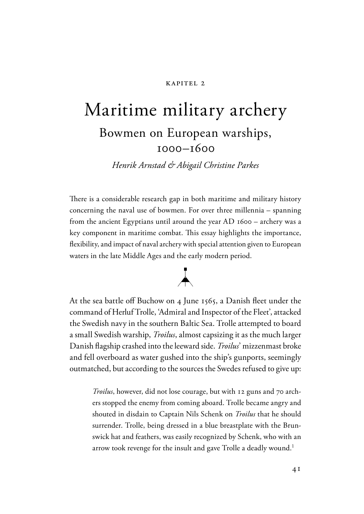#### kapitel 2

# Maritime military archery Bowmen on European warships, 1000–1600

*Henrik Arnstad & Abigail Christine Parkes*

There is a considerable research gap in both maritime and military history concerning the naval use of bowmen. For over three millennia – spanning from the ancient Egyptians until around the year AD 1600 – archery was a key component in maritime combat. This essay highlights the importance, flexibility, and impact of naval archery with special attention given to European waters in the late Middle Ages and the early modern period.



At the sea battle off Buchow on 4 June 1565, a Danish fleet under the command of Herluf Trolle, 'Admiral and Inspector of the Fleet', attacked the Swedish navy in the southern Baltic Sea. Trolle attempted to board a small Swedish warship, *Troilus*, almost capsizing it as the much larger Danish flagship crashed into the leeward side. *Troilus*' mizzenmast broke and fell overboard as water gushed into the ship's gunports, seemingly outmatched, but according to the sources the Swedes refused to give up:

*Troilus*, however, did not lose courage, but with 12 guns and 70 archers stopped the enemy from coming aboard. Trolle became angry and shouted in disdain to Captain Nils Schenk on *Troilus* that he should surrender. Trolle, being dressed in a blue breastplate with the Brunswick hat and feathers, was easily recognized by Schenk, who with an arrow took revenge for the insult and gave Trolle a deadly wound.<sup>1</sup>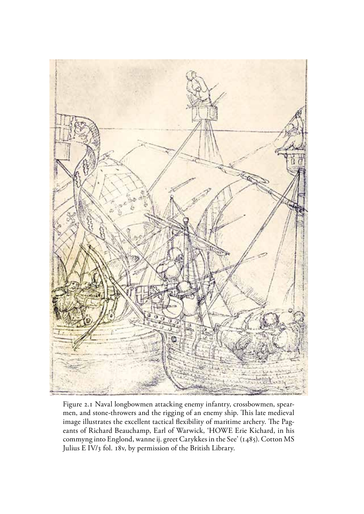

Figure 2.1 Naval longbowmen attacking enemy infantry, crossbowmen, spearmen, and stone-throwers and the rigging of an enemy ship. This late medieval image illustrates the excellent tactical flexibility of maritime archery. The Pageants of Richard Beauchamp, Earl of Warwick, 'HOWE Erie Kichard, in his commyng into Englond, wanne ij. greet Carykkes in the See' (1485). Cotton MS Julius E IV/3 fol. 18v, by permission of the British Library.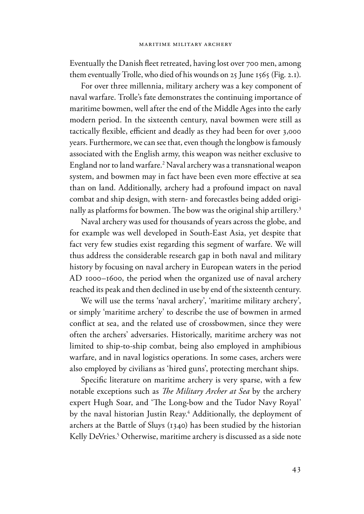Eventually the Danish fleet retreated, having lost over 700 men, among them eventually Trolle, who died of his wounds on 25 June 1565 (Fig. 2.1).

For over three millennia, military archery was a key component of naval warfare. Trolle's fate demonstrates the continuing importance of maritime bowmen, well after the end of the Middle Ages into the early modern period. In the sixteenth century, naval bowmen were still as tactically flexible, efficient and deadly as they had been for over 3,000 years. Furthermore, we can see that, even though the longbow is famously associated with the English army, this weapon was neither exclusive to England nor to land warfare.2 Naval archery was a transnational weapon system, and bowmen may in fact have been even more effective at sea than on land. Additionally, archery had a profound impact on naval combat and ship design, with stern- and forecastles being added originally as platforms for bowmen. The bow was the original ship artillery.<sup>3</sup>

Naval archery was used for thousands of years across the globe, and for example was well developed in South-East Asia, yet despite that fact very few studies exist regarding this segment of warfare. We will thus address the considerable research gap in both naval and military history by focusing on naval archery in European waters in the period AD 1000–1600, the period when the organized use of naval archery reached its peak and then declined in use by end of the sixteenth century.

We will use the terms 'naval archery', 'maritime military archery', or simply 'maritime archery' to describe the use of bowmen in armed conflict at sea, and the related use of crossbowmen, since they were often the archers' adversaries. Historically, maritime archery was not limited to ship-to-ship combat, being also employed in amphibious warfare, and in naval logistics operations. In some cases, archers were also employed by civilians as 'hired guns', protecting merchant ships.

Specific literature on maritime archery is very sparse, with a few notable exceptions such as *The Military Archer at Sea* by the archery expert Hugh Soar, and 'The Long-bow and the Tudor Navy Royal' by the naval historian Justin Reay.4 Additionally, the deployment of archers at the Battle of Sluys (1340) has been studied by the historian Kelly DeVries.<sup>5</sup> Otherwise, maritime archery is discussed as a side note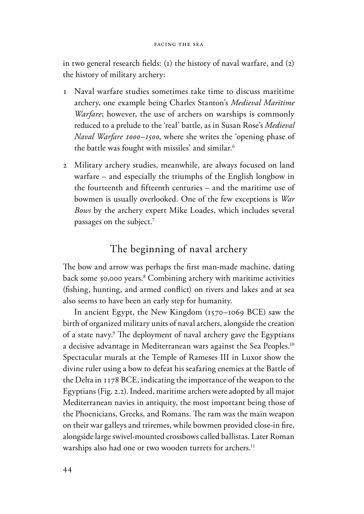in two general research fields: (1) the history of naval warfare, and  $(2)$ the history of military archery:

- 1 Naval warfare studies sometimes take time to discuss maritime archery, one example being Charles Stanton's *Medieval Maritime Warfare*; however, the use of archers on warships is commonly reduced to a prelude to the 'real' battle, as in Susan Rose's *Medieval Naval Warfare 1000–1500*, where she writes the 'opening phase of the battle was fought with missiles' and similar.<sup>6</sup>
- 2 Military archery studies, meanwhile, are always focused on land warfare – and especially the triumphs of the English longbow in the fourteenth and fifteenth centuries – and the maritime use of bowmen is usually overlooked. One of the few exceptions is *War Bows* by the archery expert Mike Loades, which includes several passages on the subject.7

# The beginning of naval archery

The bow and arrow was perhaps the first man-made machine, dating back some 50,000 years.8 Combining archery with maritime activities (fishing, hunting, and armed conflict) on rivers and lakes and at sea also seems to have been an early step for humanity.

In ancient Egypt, the New Kingdom (1570–1069 BCE) saw the birth of organized military units of naval archers, alongside the creation of a state navy.<sup>9</sup> The deployment of naval archery gave the Egyptians a decisive advantage in Mediterranean wars against the Sea Peoples.<sup>10</sup> Spectacular murals at the Temple of Rameses III in Luxor show the divine ruler using a bow to defeat his seafaring enemies at the Battle of the Delta in 1178 BCE, indicating the importance of the weapon to the Egyptians (Fig. 2.2). Indeed, maritime archers were adopted by all major Mediterranean navies in antiquity, the most important being those of the Phoenicians, Greeks, and Romans. The ram was the main weapon on their war galleys and triremes, while bowmen provided close-in fire, alongside large swivel-mounted crossbows called ballistas. Later Roman warships also had one or two wooden turrets for archers.<sup>11</sup>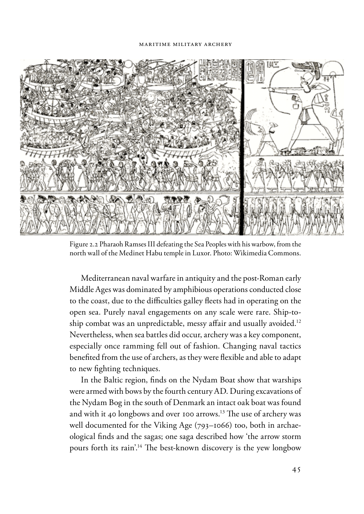#### maritime military archery



Figure 2.2 Pharaoh Ramses III defeating the Sea Peoples with his warbow, from the north wall of the Medinet Habu temple in Luxor. Photo: Wikimedia Commons.

Mediterranean naval warfare in antiquity and the post-Roman early Middle Ages was dominated by amphibious operations conducted close to the coast, due to the difficulties galley fleets had in operating on the open sea. Purely naval engagements on any scale were rare. Ship-toship combat was an unpredictable, messy affair and usually avoided.<sup>12</sup> Nevertheless, when sea battles did occur, archery was a key component, especially once ramming fell out of fashion. Changing naval tactics benefited from the use of archers, as they were flexible and able to adapt to new fighting techniques.

In the Baltic region, finds on the Nydam Boat show that warships were armed with bows by the fourth century AD. During excavations of the Nydam Bog in the south of Denmark an intact oak boat was found and with it 40 longbows and over 100 arrows.<sup>13</sup> The use of archery was well documented for the Viking Age (793–1066) too, both in archaeological finds and the sagas; one saga described how 'the arrow storm pours forth its rain'.<sup>14</sup> The best-known discovery is the yew longbow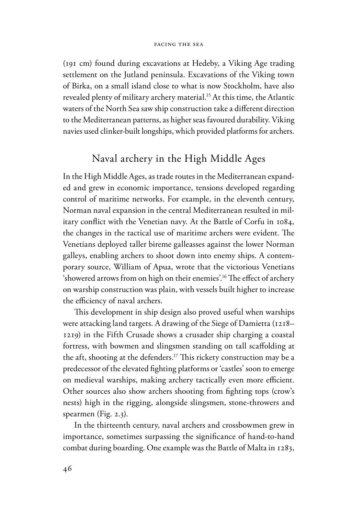(191 cm) found during excavations at Hedeby, a Viking Age trading settlement on the Jutland peninsula. Excavations of the Viking town of Birka, on a small island close to what is now Stockholm, have also revealed plenty of military archery material.<sup>15</sup> At this time, the Atlantic waters of the North Sea saw ship construction take a different direction to the Mediterranean patterns, as higher seas favoured durability. Viking navies used clinker-built longships, which provided platforms for archers.

# Naval archery in the High Middle Ages

In the High Middle Ages, as trade routes in the Mediterranean expanded and grew in economic importance, tensions developed regarding control of maritime networks. For example, in the eleventh century, Norman naval expansion in the central Mediterranean resulted in military conflict with the Venetian navy. At the Battle of Corfu in 1084, the changes in the tactical use of maritime archers were evident. The Venetians deployed taller bireme galleasses against the lower Norman galleys, enabling archers to shoot down into enemy ships. A contemporary source, William of Apua, wrote that the victorious Venetians 'showered arrows from on high on their enemies'.<sup>16</sup> The effect of archery on warship construction was plain, with vessels built higher to increase the efficiency of naval archers.

This development in ship design also proved useful when warships were attacking land targets. A drawing of the Siege of Damietta (1218– 1219) in the Fifth Crusade shows a crusader ship charging a coastal fortress, with bowmen and slingsmen standing on tall scaffolding at the aft, shooting at the defenders.<sup>17</sup> This rickety construction may be a predecessor of the elevated fighting platforms or 'castles' soon to emerge on medieval warships, making archery tactically even more efficient. Other sources also show archers shooting from fighting tops (crow's nests) high in the rigging, alongside slingsmen, stone-throwers and spearmen (Fig. 2.3).

In the thirteenth century, naval archers and crossbowmen grew in importance, sometimes surpassing the significance of hand-to-hand combat during boarding. One example was the Battle of Malta in 1283,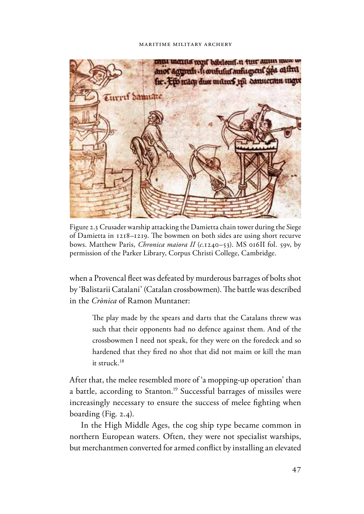#### maritime military archery



Figure 2.3 Crusader warship attacking the Damietta chain tower during the Siege of Damietta in 1218–1219. The bowmen on both sides are using short recurve bows. Matthew Paris, *Chronica maiora II* (*c*.1240–53). MS 016II fol. 59v, by permission of the Parker Library, Corpus Christi College, Cambridge.

when a Provencal fleet was defeated by murderous barrages of bolts shot by 'Balistarii Catalani' (Catalan crossbowmen). The battle was described in the *Crònica* of Ramon Muntaner:

The play made by the spears and darts that the Catalans threw was such that their opponents had no defence against them. And of the crossbowmen I need not speak, for they were on the foredeck and so hardened that they fired no shot that did not maim or kill the man it struck.18

After that, the melee resembled more of 'a mopping-up operation' than a battle, according to Stanton.19 Successful barrages of missiles were increasingly necessary to ensure the success of melee fighting when boarding (Fig. 2.4).

In the High Middle Ages, the cog ship type became common in northern European waters. Often, they were not specialist warships, but merchantmen converted for armed conflict by installing an elevated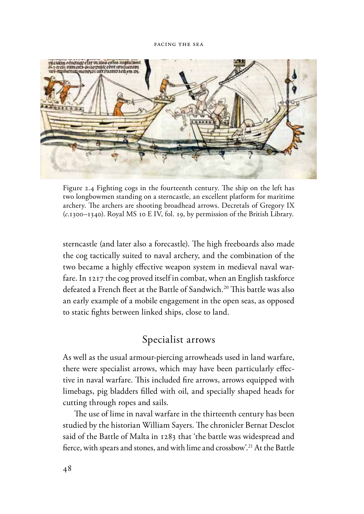

Figure 2.4 Fighting cogs in the fourteenth century. The ship on the left has two longbowmen standing on a sterncastle, an excellent platform for maritime archery. The archers are shooting broadhead arrows. Decretals of Gregory IX (*c*.1300–1340). Royal MS 10 E IV, fol. 19, by permission of the British Library.

sterncastle (and later also a forecastle). The high freeboards also made the cog tactically suited to naval archery, and the combination of the two became a highly effective weapon system in medieval naval warfare. In 1217 the cog proved itself in combat, when an English taskforce defeated a French fleet at the Battle of Sandwich.<sup>20</sup> This battle was also an early example of a mobile engagement in the open seas, as opposed to static fights between linked ships, close to land.

# Specialist arrows

As well as the usual armour-piercing arrowheads used in land warfare, there were specialist arrows, which may have been particularly effective in naval warfare. This included fire arrows, arrows equipped with limebags, pig bladders filled with oil, and specially shaped heads for cutting through ropes and sails.

The use of lime in naval warfare in the thirteenth century has been studied by the historian William Sayers. The chronicler Bernat Desclot said of the Battle of Malta in 1283 that 'the battle was widespread and fierce, with spears and stones, and with lime and crossbow'.<sup>21</sup> At the Battle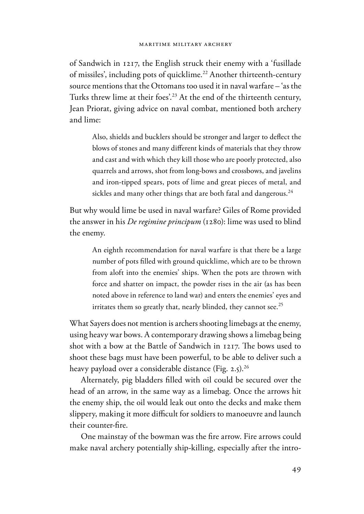of Sandwich in 1217, the English struck their enemy with a 'fusillade of missiles', including pots of quicklime.<sup>22</sup> Another thirteenth-century source mentions that the Ottomans too used it in naval warfare – 'as the Turks threw lime at their foes'.<sup>23</sup> At the end of the thirteenth century, Jean Priorat, giving advice on naval combat, mentioned both archery and lime:

Also, shields and bucklers should be stronger and larger to deflect the blows of stones and many different kinds of materials that they throw and cast and with which they kill those who are poorly protected, also quarrels and arrows, shot from long-bows and crossbows, and javelins and iron-tipped spears, pots of lime and great pieces of metal, and sickles and many other things that are both fatal and dangerous.<sup>24</sup>

But why would lime be used in naval warfare? Giles of Rome provided the answer in his *De regimine principum* (1280): lime was used to blind the enemy.

An eighth recommendation for naval warfare is that there be a large number of pots filled with ground quicklime, which are to be thrown from aloft into the enemies' ships. When the pots are thrown with force and shatter on impact, the powder rises in the air (as has been noted above in reference to land war) and enters the enemies' eyes and irritates them so greatly that, nearly blinded, they cannot see.<sup>25</sup>

What Sayers does not mention is archers shooting limebags at the enemy, using heavy war bows. A contemporary drawing shows a limebag being shot with a bow at the Battle of Sandwich in 1217. The bows used to shoot these bags must have been powerful, to be able to deliver such a heavy payload over a considerable distance (Fig. 2.5).<sup>26</sup>

Alternately, pig bladders filled with oil could be secured over the head of an arrow, in the same way as a limebag. Once the arrows hit the enemy ship, the oil would leak out onto the decks and make them slippery, making it more difficult for soldiers to manoeuvre and launch their counter-fire.

One mainstay of the bowman was the fire arrow. Fire arrows could make naval archery potentially ship-killing, especially after the intro-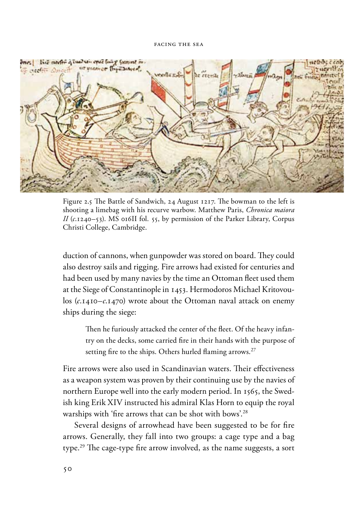

Figure 2.5 The Battle of Sandwich, 24 August 1217. The bowman to the left is shooting a limebag with his recurve warbow. Matthew Paris, *Chronica maiora II* (*c*.1240–53). MS 016II fol. 55, by permission of the Parker Library, Corpus Christi College, Cambridge.

duction of cannons, when gunpowder was stored on board. They could also destroy sails and rigging. Fire arrows had existed for centuries and had been used by many navies by the time an Ottoman fleet used them at the Siege of Constantinople in 1453. Hermodoros Michael Kritovoulos (*c*.1410–*c*.1470) wrote about the Ottoman naval attack on enemy ships during the siege:

Then he furiously attacked the center of the fleet. Of the heavy infantry on the decks, some carried fire in their hands with the purpose of setting fire to the ships. Others hurled flaming arrows.<sup>27</sup>

Fire arrows were also used in Scandinavian waters. Their effectiveness as a weapon system was proven by their continuing use by the navies of northern Europe well into the early modern period. In 1565, the Swedish king Erik XIV instructed his admiral Klas Horn to equip the royal warships with 'fire arrows that can be shot with bows'.<sup>28</sup>

Several designs of arrowhead have been suggested to be for fire arrows. Generally, they fall into two groups: a cage type and a bag type.<sup>29</sup> The cage-type fire arrow involved, as the name suggests, a sort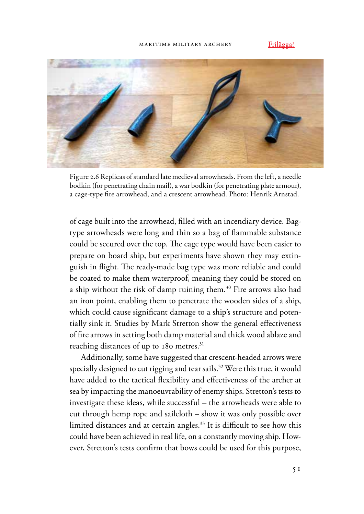#### maritime military archery

Frilägga?



Figure 2.6 Replicas of standard late medieval arrowheads. From the left, a needle bodkin (for penetrating chain mail), a war bodkin (for penetrating plate armour), a cage-type fire arrowhead, and a crescent arrowhead. Photo: Henrik Arnstad.

of cage built into the arrowhead, filled with an incendiary device. Bagtype arrowheads were long and thin so a bag of flammable substance could be secured over the top. The cage type would have been easier to prepare on board ship, but experiments have shown they may extinguish in flight. The ready-made bag type was more reliable and could be coated to make them waterproof, meaning they could be stored on a ship without the risk of damp ruining them.<sup>30</sup> Fire arrows also had an iron point, enabling them to penetrate the wooden sides of a ship, which could cause significant damage to a ship's structure and potentially sink it. Studies by Mark Stretton show the general effectiveness of fire arrows in setting both damp material and thick wood ablaze and reaching distances of up to 180 metres.<sup>31</sup>

Additionally, some have suggested that crescent-headed arrows were specially designed to cut rigging and tear sails.<sup>32</sup> Were this true, it would have added to the tactical flexibility and effectiveness of the archer at sea by impacting the manoeuvrability of enemy ships. Stretton's tests to investigate these ideas, while successful – the arrowheads were able to cut through hemp rope and sailcloth – show it was only possible over limited distances and at certain angles.<sup>33</sup> It is difficult to see how this could have been achieved in real life, on a constantly moving ship. However, Stretton's tests confirm that bows could be used for this purpose,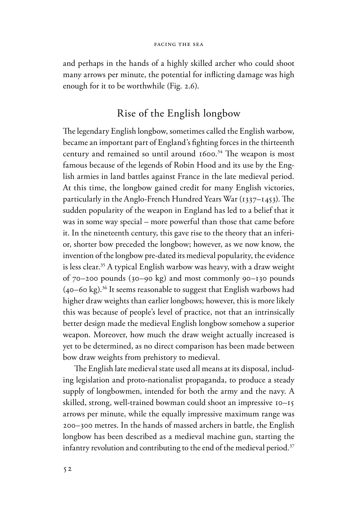and perhaps in the hands of a highly skilled archer who could shoot many arrows per minute, the potential for inflicting damage was high enough for it to be worthwhile (Fig. 2.6).

# Rise of the English longbow

The legendary English longbow, sometimes called the English warbow, became an important part of England's fighting forces in the thirteenth century and remained so until around  $1600.^{34}$  The weapon is most famous because of the legends of Robin Hood and its use by the English armies in land battles against France in the late medieval period. At this time, the longbow gained credit for many English victories, particularly in the Anglo-French Hundred Years War  $(1337-1453)$ . The sudden popularity of the weapon in England has led to a belief that it was in some way special – more powerful than those that came before it. In the nineteenth century, this gave rise to the theory that an inferior, shorter bow preceded the longbow; however, as we now know, the invention of the longbow pre-dated its medieval popularity, the evidence is less clear.<sup>35</sup> A typical English warbow was heavy, with a draw weight of 70–200 pounds (30–90 kg) and most commonly 90–130 pounds  $(40-60 \text{ kg})$ .<sup>36</sup> It seems reasonable to suggest that English warbows had higher draw weights than earlier longbows; however, this is more likely this was because of people's level of practice, not that an intrinsically better design made the medieval English longbow somehow a superior weapon. Moreover, how much the draw weight actually increased is yet to be determined, as no direct comparison has been made between bow draw weights from prehistory to medieval.

The English late medieval state used all means at its disposal, including legislation and proto-nationalist propaganda, to produce a steady supply of longbowmen, intended for both the army and the navy. A skilled, strong, well-trained bowman could shoot an impressive 10–15 arrows per minute, while the equally impressive maximum range was 200–300 metres. In the hands of massed archers in battle, the English longbow has been described as a medieval machine gun, starting the infantry revolution and contributing to the end of the medieval period.<sup>37</sup>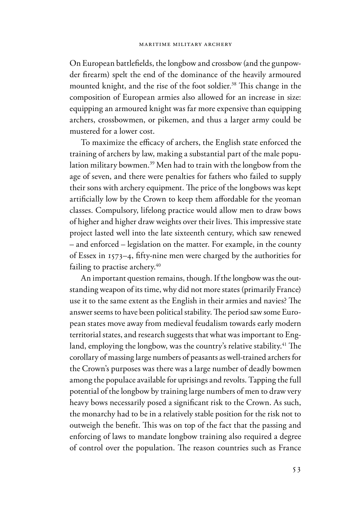On European battlefields, the longbow and crossbow (and the gunpowder firearm) spelt the end of the dominance of the heavily armoured mounted knight, and the rise of the foot soldier.<sup>38</sup> This change in the composition of European armies also allowed for an increase in size: equipping an armoured knight was far more expensive than equipping archers, crossbowmen, or pikemen, and thus a larger army could be mustered for a lower cost.

To maximize the efficacy of archers, the English state enforced the training of archers by law, making a substantial part of the male population military bowmen.39 Men had to train with the longbow from the age of seven, and there were penalties for fathers who failed to supply their sons with archery equipment. The price of the longbows was kept artificially low by the Crown to keep them affordable for the yeoman classes. Compulsory, lifelong practice would allow men to draw bows of higher and higher draw weights over their lives. This impressive state project lasted well into the late sixteenth century, which saw renewed – and enforced – legislation on the matter. For example, in the county of Essex in 1573-4, fifty-nine men were charged by the authorities for failing to practise archery.<sup>40</sup>

An important question remains, though. If the longbow was the outstanding weapon of its time, why did not more states (primarily France) use it to the same extent as the English in their armies and navies? The answer seems to have been political stability. The period saw some European states move away from medieval feudalism towards early modern territorial states, and research suggests that what was important to England, employing the longbow, was the country's relative stability.<sup>41</sup> The corollary of massing large numbers of peasants as well-trained archers for the Crown's purposes was there was a large number of deadly bowmen among the populace available for uprisings and revolts. Tapping the full potential of the longbow by training large numbers of men to draw very heavy bows necessarily posed a significant risk to the Crown. As such, the monarchy had to be in a relatively stable position for the risk not to outweigh the benefit. This was on top of the fact that the passing and enforcing of laws to mandate longbow training also required a degree of control over the population. The reason countries such as France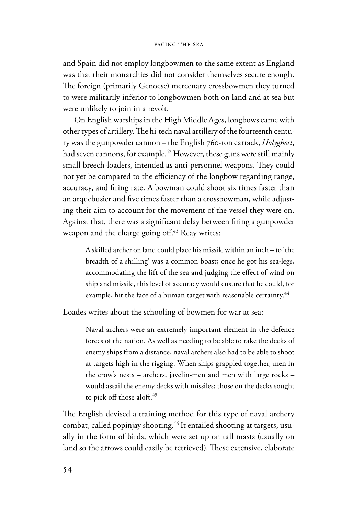and Spain did not employ longbowmen to the same extent as England was that their monarchies did not consider themselves secure enough. The foreign (primarily Genoese) mercenary crossbowmen they turned to were militarily inferior to longbowmen both on land and at sea but were unlikely to join in a revolt.

On English warships in the High Middle Ages, longbows came with other types of artillery. The hi-tech naval artillery of the fourteenth century was the gunpowder cannon – the English 760-ton carrack, *Holyghost*, had seven cannons, for example.<sup>42</sup> However, these guns were still mainly small breech-loaders, intended as anti-personnel weapons. They could not yet be compared to the efficiency of the longbow regarding range, accuracy, and firing rate. A bowman could shoot six times faster than an arquebusier and five times faster than a crossbowman, while adjusting their aim to account for the movement of the vessel they were on. Against that, there was a significant delay between firing a gunpowder weapon and the charge going off.<sup>43</sup> Reay writes:

A skilled archer on land could place his missile within an inch – to 'the breadth of a shilling' was a common boast; once he got his sea-legs, accommodating the lift of the sea and judging the effect of wind on ship and missile, this level of accuracy would ensure that he could, for example, hit the face of a human target with reasonable certainty.<sup>44</sup>

Loades writes about the schooling of bowmen for war at sea:

Naval archers were an extremely important element in the defence forces of the nation. As well as needing to be able to rake the decks of enemy ships from a distance, naval archers also had to be able to shoot at targets high in the rigging. When ships grappled together, men in the crow's nests – archers, javelin-men and men with large rocks – would assail the enemy decks with missiles; those on the decks sought to pick off those aloft.<sup>45</sup>

The English devised a training method for this type of naval archery combat, called popinjay shooting.<sup>46</sup> It entailed shooting at targets, usually in the form of birds, which were set up on tall masts (usually on land so the arrows could easily be retrieved). These extensive, elaborate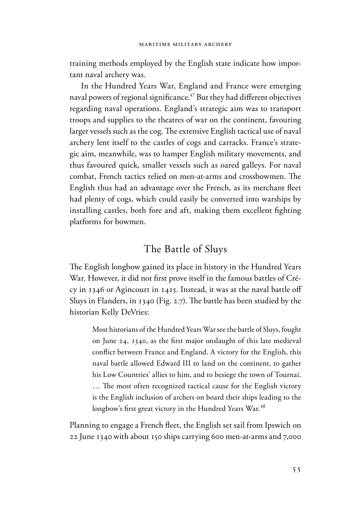training methods employed by the English state indicate how important naval archery was.

In the Hundred Years War, England and France were emerging naval powers of regional significance.<sup> $47$ </sup> But they had different objectives regarding naval operations. England's strategic aim was to transport troops and supplies to the theatres of war on the continent, favouring larger vessels such as the cog. The extensive English tactical use of naval archery lent itself to the castles of cogs and carracks. France's strategic aim, meanwhile, was to hamper English military movements, and thus favoured quick, smaller vessels such as oared galleys. For naval combat, French tactics relied on men-at-arms and crossbowmen. The English thus had an advantage over the French, as its merchant fleet had plenty of cogs, which could easily be converted into warships by installing castles, both fore and aft, making them excellent fighting platforms for bowmen.

### The Battle of Sluys

The English longbow gained its place in history in the Hundred Years War. However, it did not first prove itself in the famous battles of Crécy in 1346 or Agincourt in 1415. Instead, it was at the naval battle off Sluys in Flanders, in 1340 (Fig. 2.7). The battle has been studied by the historian Kelly DeVries:

Most historians of the Hundred Years War see the battle of Sluys, fought on June 24, 1340, as the first major onslaught of this late medieval conflict between France and England. A victory for the English, this naval battle allowed Edward III to land on the continent, to gather his Low Countries' allies to him, and to besiege the town of Tournai. ... The most often recognized tactical cause for the English victory is the English inclusion of archers on board their ships leading to the longbow's first great victory in the Hundred Years War.<sup>48</sup>

Planning to engage a French fleet, the English set sail from Ipswich on 22 June 1340 with about 150 ships carrying 600 men-at-arms and 7,000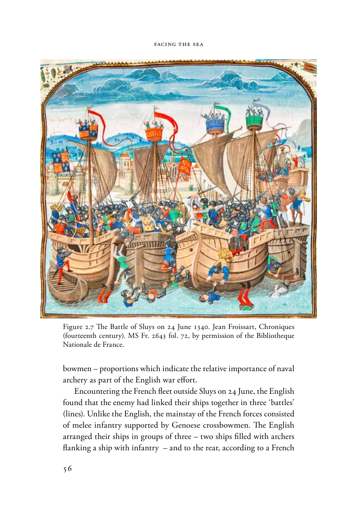

Figure 2.7 The Battle of Sluys on 24 June 1340. Jean Froissart, Chroniques (fourteenth century). MS Fr. 2643 fol. 72, by permission of the Bibliotheque Nationale de France.

bowmen – proportions which indicate the relative importance of naval archery as part of the English war effort.

Encountering the French fleet outside Sluys on 24 June, the English found that the enemy had linked their ships together in three 'battles' (lines). Unlike the English, the mainstay of the French forces consisted of melee infantry supported by Genoese crossbowmen. The English arranged their ships in groups of three  $-$  two ships filled with archers flanking a ship with infantry  $-$  and to the rear, according to a French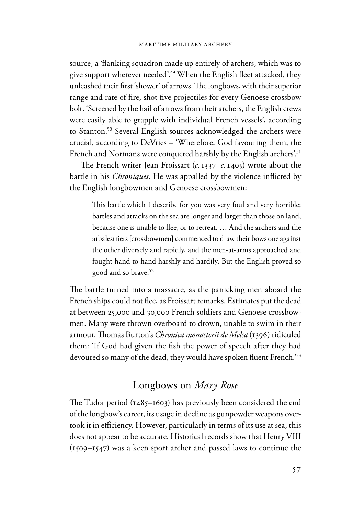source, a 'flanking squadron made up entirely of archers, which was to give support wherever needed'.<sup>49</sup> When the English fleet attacked, they unleashed their first 'shower' of arrows. The longbows, with their superior range and rate of fire, shot five projectiles for every Genoese crossbow bolt. 'Screened by the hail of arrows from their archers, the English crews were easily able to grapple with individual French vessels', according to Stanton.<sup>50</sup> Several English sources acknowledged the archers were crucial, according to DeVries – 'Wherefore, God favouring them, the French and Normans were conquered harshly by the English archers'.<sup>51</sup>

The French writer Jean Froissart (*c*. 1337–*c*. 1405) wrote about the battle in his *Chroniques*. He was appalled by the violence inflicted by the English longbowmen and Genoese crossbowmen:

This battle which I describe for you was very foul and very horrible; battles and attacks on the sea are longer and larger than those on land, because one is unable to flee, or to retreat. ... And the archers and the arbalestriers [crossbowmen] commenced to draw their bows one against the other diversely and rapidly, and the men-at-arms approached and fought hand to hand harshly and hardily. But the English proved so good and so brave.52

The battle turned into a massacre, as the panicking men aboard the French ships could not flee, as Froissart remarks. Estimates put the dead at between 25,000 and 30,000 French soldiers and Genoese crossbowmen. Many were thrown overboard to drown, unable to swim in their armour. Thomas Burton's *Chronica monasterii de Melsa* (1396) ridiculed them: 'If God had given the fish the power of speech after they had devoured so many of the dead, they would have spoken fluent French.<sup>'53</sup>

# Longbows on *Mary Rose*

The Tudor period  $(1485–1603)$  has previously been considered the end of the longbow's career, its usage in decline as gunpowder weapons overtook it in efficiency. However, particularly in terms of its use at sea, this does not appear to be accurate. Historical records show that Henry VIII (1509–1547) was a keen sport archer and passed laws to continue the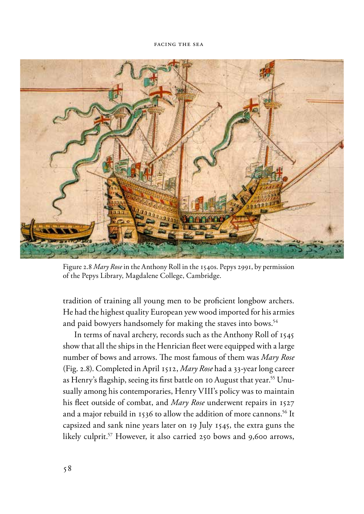

Figure 2.8 *Mary Rose* in the Anthony Roll in the 1540s. Pepys 2991, by permission of the Pepys Library, Magdalene College, Cambridge.

tradition of training all young men to be proficient longbow archers. He had the highest quality European yew wood imported for his armies and paid bowyers handsomely for making the staves into bows.<sup>54</sup>

In terms of naval archery, records such as the Anthony Roll of 1545 show that all the ships in the Henrician fleet were equipped with a large number of bows and arrows. The most famous of them was *Mary Rose* (Fig. 2.8). Completed in April 1512, *Mary Rose* had a 33-year long career as Henry's flagship, seeing its first battle on 10 August that year.<sup>55</sup> Unusually among his contemporaries, Henry VIII's policy was to maintain his fleet outside of combat, and *Mary Rose* underwent repairs in 1527 and a major rebuild in 1536 to allow the addition of more cannons.<sup>56</sup> It capsized and sank nine years later on 19 July 1545, the extra guns the likely culprit.57 However, it also carried 250 bows and 9,600 arrows,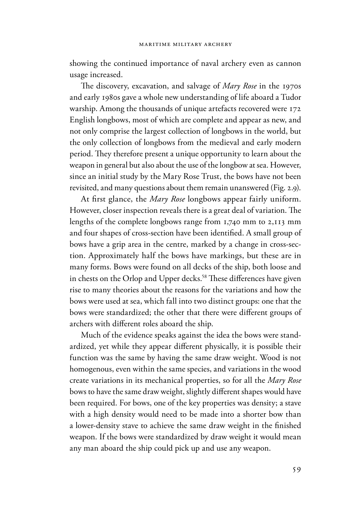showing the continued importance of naval archery even as cannon usage increased.

The discovery, excavation, and salvage of *Mary Rose* in the 1970s and early 1980s gave a whole new understanding of life aboard a Tudor warship. Among the thousands of unique artefacts recovered were 172 English longbows, most of which are complete and appear as new, and not only comprise the largest collection of longbows in the world, but the only collection of longbows from the medieval and early modern period. They therefore present a unique opportunity to learn about the weapon in general but also about the use of the longbow at sea. However, since an initial study by the Mary Rose Trust, the bows have not been revisited, and many questions about them remain unanswered (Fig. 2.9).

At first glance, the *Mary Rose* longbows appear fairly uniform. However, closer inspection reveals there is a great deal of variation. The lengths of the complete longbows range from 1,740 mm to 2,113 mm and four shapes of cross-section have been identified. A small group of bows have a grip area in the centre, marked by a change in cross-section. Approximately half the bows have markings, but these are in many forms. Bows were found on all decks of the ship, both loose and in chests on the Orlop and Upper decks.<sup>58</sup> These differences have given rise to many theories about the reasons for the variations and how the bows were used at sea, which fall into two distinct groups: one that the bows were standardized; the other that there were different groups of archers with different roles aboard the ship.

Much of the evidence speaks against the idea the bows were standardized, yet while they appear different physically, it is possible their function was the same by having the same draw weight. Wood is not homogenous, even within the same species, and variations in the wood create variations in its mechanical properties, so for all the *Mary Rose* bows to have the same draw weight, slightly different shapes would have been required. For bows, one of the key properties was density; a stave with a high density would need to be made into a shorter bow than a lower-density stave to achieve the same draw weight in the finished weapon. If the bows were standardized by draw weight it would mean any man aboard the ship could pick up and use any weapon.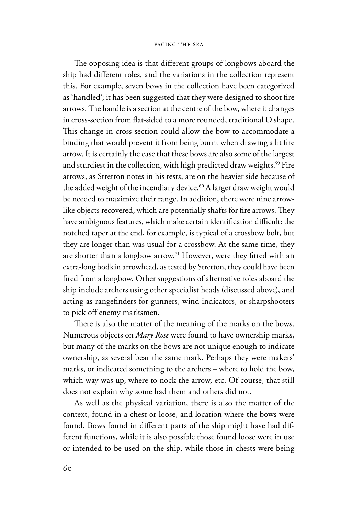The opposing idea is that different groups of longbows aboard the ship had different roles, and the variations in the collection represent this. For example, seven bows in the collection have been categorized as 'handled'; it has been suggested that they were designed to shoot fire arrows. The handle is a section at the centre of the bow, where it changes in cross-section from flat-sided to a more rounded, traditional D shape. This change in cross-section could allow the bow to accommodate a binding that would prevent it from being burnt when drawing a lit fire arrow. It is certainly the case that these bows are also some of the largest and sturdiest in the collection, with high predicted draw weights.<sup>59</sup> Fire arrows, as Stretton notes in his tests, are on the heavier side because of the added weight of the incendiary device.<sup>60</sup> A larger draw weight would be needed to maximize their range. In addition, there were nine arrowlike objects recovered, which are potentially shafts for fire arrows. They have ambiguous features, which make certain identification difficult: the notched taper at the end, for example, is typical of a crossbow bolt, but they are longer than was usual for a crossbow. At the same time, they are shorter than a longbow arrow.<sup>61</sup> However, were they fitted with an extra-long bodkin arrowhead, as tested by Stretton, they could have been fired from a longbow. Other suggestions of alternative roles aboard the ship include archers using other specialist heads (discussed above), and acting as rangefinders for gunners, wind indicators, or sharpshooters to pick off enemy marksmen.

There is also the matter of the meaning of the marks on the bows. Numerous objects on *Mary Rose* were found to have ownership marks, but many of the marks on the bows are not unique enough to indicate ownership, as several bear the same mark. Perhaps they were makers' marks, or indicated something to the archers – where to hold the bow, which way was up, where to nock the arrow, etc. Of course, that still does not explain why some had them and others did not.

As well as the physical variation, there is also the matter of the context, found in a chest or loose, and location where the bows were found. Bows found in different parts of the ship might have had different functions, while it is also possible those found loose were in use or intended to be used on the ship, while those in chests were being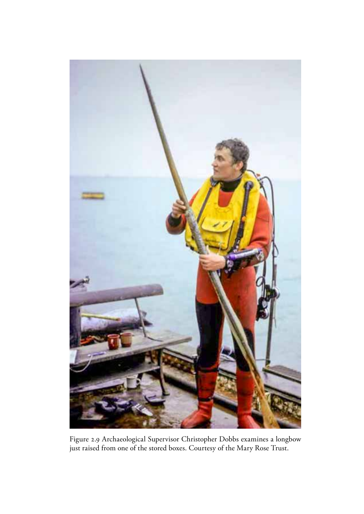

Figure 2.9 Archaeological Supervisor Christopher Dobbs examines a longbow just raised from one of the stored boxes. Courtesy of the Mary Rose Trust.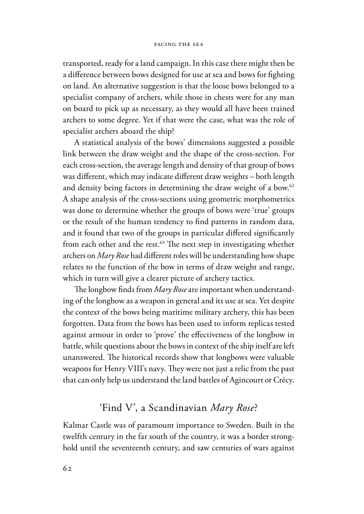transported, ready for a land campaign. In this case there might then be a difference between bows designed for use at sea and bows for fighting on land. An alternative suggestion is that the loose bows belonged to a specialist company of archers, while those in chests were for any man on board to pick up as necessary, as they would all have been trained archers to some degree. Yet if that were the case, what was the role of specialist archers aboard the ship?

A statistical analysis of the bows' dimensions suggested a possible link between the draw weight and the shape of the cross-section. For each cross-section, the average length and density of that group of bows was different, which may indicate different draw weights – both length and density being factors in determining the draw weight of a bow.<sup>62</sup> A shape analysis of the cross-sections using geometric morphometrics was done to determine whether the groups of bows were 'true' groups or the result of the human tendency to find patterns in random data, and it found that two of the groups in particular differed significantly from each other and the rest. $63$  The next step in investigating whether archers on *Mary Rose* had different roles will be understanding how shape relates to the function of the bow in terms of draw weight and range, which in turn will give a clearer picture of archery tactics.

The longbow finds from *Mary Rose* are important when understanding of the longbow as a weapon in general and its use at sea. Yet despite the context of the bows being maritime military archery, this has been forgotten. Data from the bows has been used to inform replicas tested against armour in order to 'prove' the effectiveness of the longbow in battle, while questions about the bows in context of the ship itself are left unanswered. The historical records show that longbows were valuable weapons for Henry VIII's navy. They were not just a relic from the past that can only help us understand the land battles of Agincourt or Crécy.

### 'Find V', a Scandinavian *Mary Rose*?

Kalmar Castle was of paramount importance to Sweden. Built in the twelfth century in the far south of the country, it was a border stronghold until the seventeenth century, and saw centuries of wars against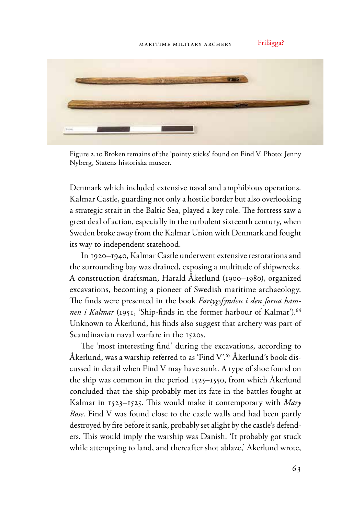Frilägga?



Figure 2.10 Broken remains of the 'pointy sticks' found on Find V. Photo: Jenny Nyberg, Statens historiska museer.

Denmark which included extensive naval and amphibious operations. Kalmar Castle, guarding not only a hostile border but also overlooking a strategic strait in the Baltic Sea, played a key role. The fortress saw a great deal of action, especially in the turbulent sixteenth century, when Sweden broke away from the Kalmar Union with Denmark and fought its way to independent statehood.

In 1920–1940, Kalmar Castle underwent extensive restorations and the surrounding bay was drained, exposing a multitude of shipwrecks. A construction draftsman, Harald Åkerlund (1900–1980), organized excavations, becoming a pioneer of Swedish maritime archaeology. The finds were presented in the book Fartygsfynden i den forna ham*nen i Kalmar* (1951, 'Ship-finds in the former harbour of Kalmar').<sup>64</sup> Unknown to Åkerlund, his finds also suggest that archery was part of Scandinavian naval warfare in the 1520s.

The 'most interesting find' during the excavations, according to Åkerlund, was a warship referred to as 'Find  $V^{\prime 65}$ Åkerlund's book discussed in detail when Find V may have sunk. A type of shoe found on the ship was common in the period 1525–1550, from which Åkerlund concluded that the ship probably met its fate in the battles fought at Kalmar in 1523–1525. This would make it contemporary with *Mary Rose*. Find V was found close to the castle walls and had been partly destroyed by fire before it sank, probably set alight by the castle's defenders. This would imply the warship was Danish. 'It probably got stuck while attempting to land, and thereafter shot ablaze,' Åkerlund wrote,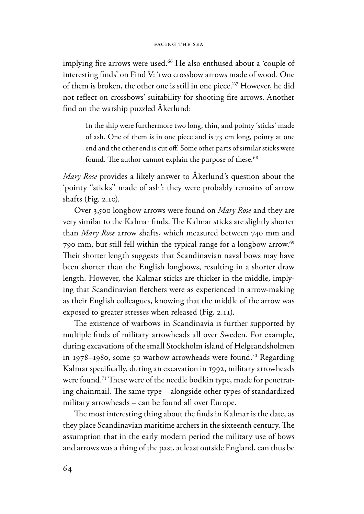implying fire arrows were used.<sup>66</sup> He also enthused about a 'couple of interesting finds' on Find V: 'two crossbow arrows made of wood. One of them is broken, the other one is still in one piece.'67 However, he did not reflect on crossbows' suitability for shooting fire arrows. Another find on the warship puzzled Åkerlund:

In the ship were furthermore two long, thin, and pointy 'sticks' made of ash. One of them is in one piece and is 73 cm long, pointy at one end and the other end is cut off. Some other parts of similar sticks were found. The author cannot explain the purpose of these.<sup>68</sup>

*Mary Rose* provides a likely answer to Åkerlund's question about the 'pointy "sticks" made of ash': they were probably remains of arrow shafts (Fig. 2.10).

Over 3,500 longbow arrows were found on *Mary Rose* and they are very similar to the Kalmar finds. The Kalmar sticks are slightly shorter than *Mary Rose* arrow shafts, which measured between 740 mm and 790 mm, but still fell within the typical range for a longbow arrow.69 Their shorter length suggests that Scandinavian naval bows may have been shorter than the English longbows, resulting in a shorter draw length. However, the Kalmar sticks are thicker in the middle, implying that Scandinavian fletchers were as experienced in arrow-making as their English colleagues, knowing that the middle of the arrow was exposed to greater stresses when released (Fig. 2.11).

The existence of warbows in Scandinavia is further supported by multiple finds of military arrowheads all over Sweden. For example, during excavations of the small Stockholm island of Helgeandsholmen in 1978–1980, some 50 warbow arrowheads were found.<sup>70</sup> Regarding Kalmar specifically, during an excavation in 1992, military arrowheads were found.<sup>71</sup> These were of the needle bodkin type, made for penetrating chainmail. The same type – alongside other types of standardized military arrowheads – can be found all over Europe.

The most interesting thing about the finds in Kalmar is the date, as they place Scandinavian maritime archers in the sixteenth century. The assumption that in the early modern period the military use of bows and arrows was a thing of the past, at least outside England, can thus be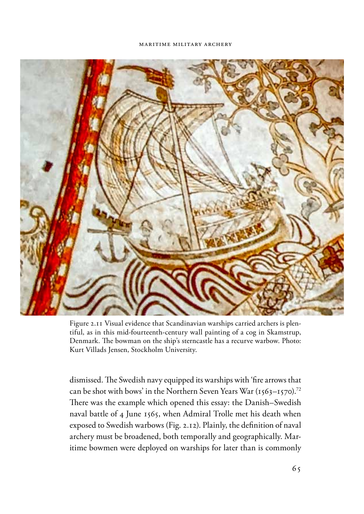#### maritime military archery



Figure 2.11 Visual evidence that Scandinavian warships carried archers is plentiful, as in this mid-fourteenth-century wall painting of a cog in Skamstrup, Denmark. The bowman on the ship's sterncastle has a recurve warbow. Photo: Kurt Villads Jensen, Stockholm University.

dismissed. The Swedish navy equipped its warships with 'fire arrows that can be shot with bows' in the Northern Seven Years War  $(1563-1570)^{72}$ There was the example which opened this essay: the Danish–Swedish naval battle of 4 June 1565, when Admiral Trolle met his death when exposed to Swedish warbows (Fig. 2.12). Plainly, the definition of naval archery must be broadened, both temporally and geographically. Maritime bowmen were deployed on warships for later than is commonly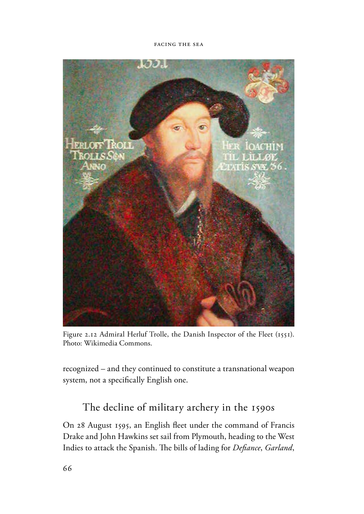

Figure 2.12 Admiral Herluf Trolle, the Danish Inspector of the Fleet (1551). Photo: Wikimedia Commons.

recognized – and they continued to constitute a transnational weapon system, not a specifically English one.

# The decline of military archery in the 1590s

On 28 August 1595, an English fleet under the command of Francis Drake and John Hawkins set sail from Plymouth, heading to the West Indies to attack the Spanish. The bills of lading for *Defiance*, *Garland*,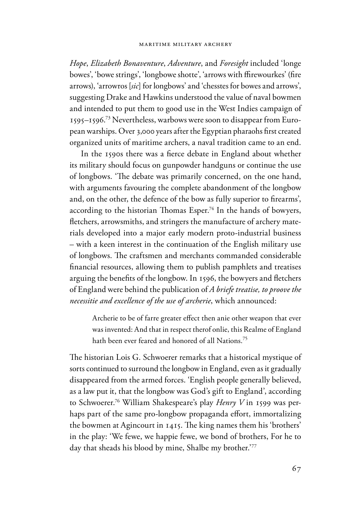*Hope*, *Elizabeth Bonaventure*, *Adventure*, and *Foresight* included 'longe bowes', 'bowe strings', 'longbowe shotte', 'arrows with ffirewourkes' (fire arrows), 'arrowros [*sic*] for longbows' and 'chesstes for bowes and arrows', suggesting Drake and Hawkins understood the value of naval bowmen and intended to put them to good use in the West Indies campaign of 1595–1596. 73 Nevertheless, warbows were soon to disappear from European warships. Over 3,000 years after the Egyptian pharaohs first created organized units of maritime archers, a naval tradition came to an end.

In the 1590s there was a fierce debate in England about whether its military should focus on gunpowder handguns or continue the use of longbows. The debate was primarily concerned, on the one hand, with arguments favouring the complete abandonment of the longbow and, on the other, the defence of the bow as fully superior to firearms', according to the historian Thomas Esper.<sup>74</sup> In the hands of bowyers, fletchers, arrowsmiths, and stringers the manufacture of archery materials developed into a major early modern proto-industrial business – with a keen interest in the continuation of the English military use of longbows. The craftsmen and merchants commanded considerable financial resources, allowing them to publish pamphlets and treatises arguing the benefits of the longbow. In 1596, the bowyers and fletchers of England were behind the publication of *A briefe treatise, to proove the necessitie and excellence of the use of archerie*, which announced:

Archerie to be of farre greater effect then anie other weapon that ever was invented: And that in respect therof onlie, this Realme of England hath been ever feared and honored of all Nations.<sup>75</sup>

The historian Lois G. Schwoerer remarks that a historical mystique of sorts continued to surround the longbow in England, even as it gradually disappeared from the armed forces. 'English people generally believed, as a law put it, that the longbow was God's gift to England', according to Schwoerer.76 William Shakespeare's play *Henry V* in 1599 was perhaps part of the same pro-longbow propaganda effort, immortalizing the bowmen at Agincourt in 1415. The king names them his 'brothers' in the play: 'We fewe, we happie fewe, we bond of brothers, For he to day that sheads his blood by mine, Shalbe my brother.'<sup>77</sup>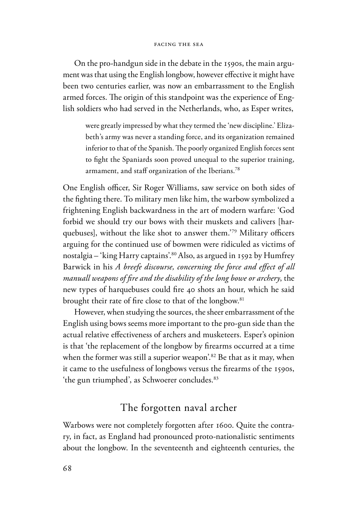On the pro-handgun side in the debate in the 1590s, the main argument was that using the English longbow, however effective it might have been two centuries earlier, was now an embarrassment to the English armed forces. The origin of this standpoint was the experience of English soldiers who had served in the Netherlands, who, as Esper writes,

were greatly impressed by what they termed the 'new discipline.' Elizabeth's army was never a standing force, and its organization remained inferior to that of the Spanish. The poorly organized English forces sent to fight the Spaniards soon proved unequal to the superior training, armament, and staff organization of the Iberians.<sup>78</sup>

One English officer, Sir Roger Williams, saw service on both sides of the fighting there. To military men like him, the warbow symbolized a frightening English backwardness in the art of modern warfare: 'God forbid we should try our bows with their muskets and calivers [harquebuses], without the like shot to answer them.<sup>'79</sup> Military officers arguing for the continued use of bowmen were ridiculed as victims of nostalgia – 'king Harry captains'.80 Also, as argued in 1592 by Humfrey Barwick in his *A* breefe discourse, concerning the force and effect of all *manuall weapons of fire and the disability of the long bowe or archery*, the new types of harquebuses could fire 40 shots an hour, which he said brought their rate of fire close to that of the longbow.<sup>81</sup>

However, when studying the sources, the sheer embarrassment of the English using bows seems more important to the pro-gun side than the actual relative effectiveness of archers and musketeers. Esper's opinion is that 'the replacement of the longbow by firearms occurred at a time when the former was still a superior weapon<sup>'82</sup> Be that as it may, when it came to the usefulness of longbows versus the firearms of the 1590s, 'the gun triumphed', as Schwoerer concludes.<sup>83</sup>

# The forgotten naval archer

Warbows were not completely forgotten after 1600. Quite the contrary, in fact, as England had pronounced proto-nationalistic sentiments about the longbow. In the seventeenth and eighteenth centuries, the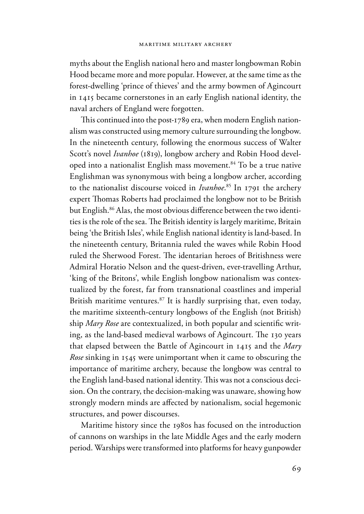myths about the English national hero and master longbowman Robin Hood became more and more popular. However, at the same time as the forest-dwelling 'prince of thieves' and the army bowmen of Agincourt in 1415 became cornerstones in an early English national identity, the naval archers of England were forgotten.

This continued into the post-1789 era, when modern English nationalism was constructed using memory culture surrounding the longbow. In the nineteenth century, following the enormous success of Walter Scott's novel *Ivanhoe* (1819), longbow archery and Robin Hood developed into a nationalist English mass movement.<sup>84</sup> To be a true native Englishman was synonymous with being a longbow archer, according to the nationalist discourse voiced in *Ivanhoe*. 85 In 1791 the archery expert Thomas Roberts had proclaimed the longbow not to be British but English.<sup>86</sup> Alas, the most obvious difference between the two identities is the role of the sea. The British identity is largely maritime, Britain being 'the British Isles', while English national identity is land-based. In the nineteenth century, Britannia ruled the waves while Robin Hood ruled the Sherwood Forest. The identarian heroes of Britishness were Admiral Horatio Nelson and the quest-driven, ever-travelling Arthur, 'king of the Britons', while English longbow nationalism was contextualized by the forest, far from transnational coastlines and imperial British maritime ventures.<sup>87</sup> It is hardly surprising that, even today, the maritime sixteenth-century longbows of the English (not British) ship *Mary Rose* are contextualized, in both popular and scientific writing, as the land-based medieval warbows of Agincourt. The 130 years that elapsed between the Battle of Agincourt in 1415 and the *Mary Rose* sinking in 1545 were unimportant when it came to obscuring the importance of maritime archery, because the longbow was central to the English land-based national identity. This was not a conscious decision. On the contrary, the decision-making was unaware, showing how strongly modern minds are affected by nationalism, social hegemonic structures, and power discourses.

Maritime history since the 1980s has focused on the introduction of cannons on warships in the late Middle Ages and the early modern period. Warships were transformed into platforms for heavy gunpowder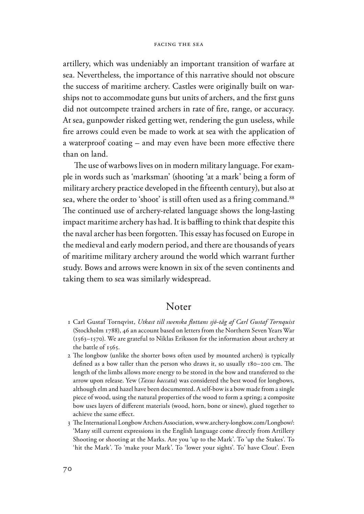artillery, which was undeniably an important transition of warfare at sea. Nevertheless, the importance of this narrative should not obscure the success of maritime archery. Castles were originally built on warships not to accommodate guns but units of archers, and the first guns did not outcompete trained archers in rate of fire, range, or accuracy. At sea, gunpowder risked getting wet, rendering the gun useless, while fire arrows could even be made to work at sea with the application of a waterproof coating  $-$  and may even have been more effective there than on land.

The use of warbows lives on in modern military language. For example in words such as 'marksman' (shooting 'at a mark' being a form of military archery practice developed in the fifteenth century), but also at sea, where the order to 'shoot' is still often used as a firing command.<sup>88</sup> The continued use of archery-related language shows the long-lasting impact maritime archery has had. It is baffling to think that despite this the naval archer has been forgotten. This essay has focused on Europe in the medieval and early modern period, and there are thousands of years of maritime military archery around the world which warrant further study. Bows and arrows were known in six of the seven continents and taking them to sea was similarly widespread.

### Noter

- 1 Carl Gustaf Tornqvist, *Utkast till swenska 'ottans sjö-tåg af Carl Gustaf Tornquist* (Stockholm 1788), 46 an account based on letters from the Northern Seven Years War (1563–1570). We are grateful to Niklas Eriksson for the information about archery at the battle of 1565.
- 2 The longbow (unlike the shorter bows often used by mounted archers) is typically defined as a bow taller than the person who draws it, so usually  $180-200$  cm. The length of the limbs allows more energy to be stored in the bow and transferred to the arrow upon release. Yew (*Taxus baccata*) was considered the best wood for longbows, although elm and hazel have been documented. A self-bow is a bow made from a single piece of wood, using the natural properties of the wood to form a spring; a composite bow uses layers of different materials (wood, horn, bone or sinew), glued together to achieve the same effect.
- 3 The International Longbow Archers Association, www.archery-longbow.com/Longbow/: 'Many still current expressions in the English language come directly from Artillery Shooting or shooting at the Marks. Are you 'up to the Mark'. To 'up the Stakes'. To 'hit the Mark'. To 'make your Mark'. To 'lower your sights'. To' have Clout'. Even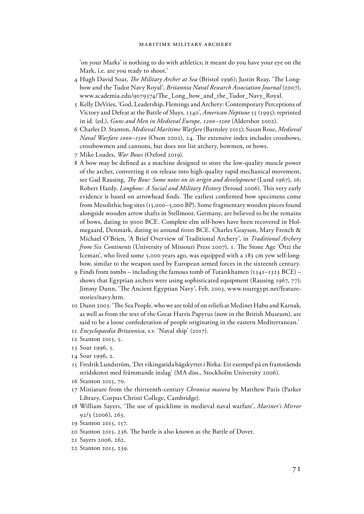'on your Marks' is nothing to do with athletics; it meant do you have your eye on the Mark, i.e. are you ready to shoot.'

- 4 Hugh David Soar, *The Military Archer at Sea* (Bristol 1996); Justin Reay, 'The Longbow and the Tudor Navy Royal', *Britannia Naval Research Association Journal* (2007), www.academia.edu/9079374/The\_Long\_bow\_and\_the\_Tudor\_Navy\_Royal.
- 5 Kelly DeVries, 'God, Leadership, Flemings and Archery: Contemporary Perceptions of Victory and Defeat at the Battle of Sluys, 1340', *American Neptune* 55 (1995); reprinted in id. (ed.), *Guns and Men in Medieval Europe, 1200–1500* (Aldershot 2002).
- 6 Charles D. Stanton, *Medieval Maritime Warfare* (Barnsley 2015); Susan Rose, *Medieval Naval Warfare 1000-1500* (Oxon 2002), 24. The extensive index includes crossbows, crossbowmen and cannons, but does not list archery, bowmen, or bows.
- 7 Mike Loades, *War Bows* (Oxford 2019).
- 8 A bow may be defined as a machine designed to store the low-quality muscle power of the archer, converting it on release into high-quality rapid mechanical movement, see Gad Rausing, *!e Bow: Some notes on its origin and development* (Lund 1967), 16; Robert Hardy, *Longbow: A Social and Military History* (Stroud 2006). This very early evidence is based on arrowhead finds. The earliest confirmed bow specimens come from Mesolithic bog sites (15,000–5,000 BP). Some fragmentary wooden pieces found alongside wooden arrow shafts in Stellmoor, Germany, are believed to be the remains of bows, dating to 9000 BCE. Complete elm self-bows have been recovered in Holmegaard, Denmark, dating to around 6000 BCE. Charles Grayson, Mary French & Michael O'Brien, 'A Brief Overview of Traditional Archery', in *Traditional Archery from Six Continents* (University of Missouri Press 2007), 1. The Stone Age 'Ötzi the Iceman', who lived some 5,000 years ago, was equipped with a 183 cm yew self-longbow, similar to the weapon used by European armed forces in the sixteenth century.
- 9 Finds from tombs including the famous tomb of Tutankhamen (1341–1323 BCE) shows that Egyptian archers were using sophisticated equipment (Rausing 1967, 77); Jimmy Dunn, 'The Ancient Egyptian Navy', Feb. 2003, www.touregypt.net/featurestories/navy.htm.
- 10 Dunn 2003: 'The Sea People, who we are told of on reliefs at Medinet Habu and Karnak, as well as from the text of the Great Harris Papyrus (now in the British Museum), are said to be a loose confederation of people originating in the eastern Mediterranean.'
- 11 *Encyclopaedia Britannica*, s.v. 'Naval ship' (2017).
- 12 Stanton 2015, 5.
- 13 Soar 1996, 5.
- 14 Soar 1996, 2.
- 15 Fredrik Lundström, 'Det vikingatida bågskyttet i Birka: Ett exempel på en framstående stridskonst med främmande inslag' (MA diss., Stockholm University 2006).
- 16 Stanton 2015, 70.
- 17 Miniature from the thirteenth-century *Chronica maiora* by Matthew Paris (Parker Library, Corpus Christi College, Cambridge).
- 18 William Sayers, 'The use of quicklime in medieval naval warfare', *Mariner's Mirror* 92/3 (2006), 263.
- 19 Stanton 2015, 157.
- 20 Stanton 2015, 236. The battle is also known as the Battle of Dover.
- 21 Sayers 2006, 262.
- 22 Stanton 2015, 239.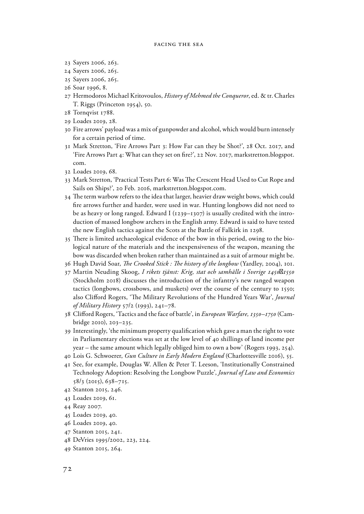- 23 Sayers 2006, 263.
- 24 Sayers 2006, 265.
- 25 Sayers 2006, 265.
- 26 Soar 1996, 8.
- 27 Hermodoros Michael Kritovoulos, *History of Mehmed the Conqueror*, ed. & tr. Charles T. Riggs (Princeton 1954), 50.
- 28 Tornqvist 1788.
- 29 Loades 2019, 28.
- 30 Fire arrows' payload was a mix of gunpowder and alcohol, which would burn intensely for a certain period of time.
- 31 Mark Stretton, 'Fire Arrows Part 3: How Far can they be Shot?', 28 Oct. 2017, and 'Fire Arrows Part 4: What can they set on fire?', 22 Nov. 2017, markstretton.blogspot. com.
- 32 Loades 2019, 68.
- 33 Mark Stretton, 'Practical Tests Part 6: Was The Crescent Head Used to Cut Rope and Sails on Ships?', 20 Feb. 2016, markstretton.blogspot.com.
- 34 The term warbow refers to the idea that larger, heavier draw weight bows, which could fire arrows further and harder, were used in war. Hunting longbows did not need to be as heavy or long ranged. Edward I (1239–1307) is usually credited with the introduction of massed longbow archers in the English army. Edward is said to have tested the new English tactics against the Scots at the Battle of Falkirk in 1298.
- 35 There is limited archaeological evidence of the bow in this period, owing to the biological nature of the materials and the inexpensiveness of the weapon, meaning the bow was discarded when broken rather than maintained as a suit of armour might be.
- 36 Hugh David Soar, *!e Crooked Stick : !e history of the longbow* (Yardley, 2004), 101.
- 37 Martin Neuding Skoog, *I rikets tjänst: Krig, stat och samhälle i Sverige 1450 1550* (Stockholm 2018) discusses the introduction of the infantry's new ranged weapon tactics (longbows, crossbows, and muskets) over the course of the century to 1550; also Clifford Rogers, 'The Military Revolutions of the Hundred Years War', *Journal of Military History* 57/2 (1993), 241–78.
- 38 Clifford Rogers, 'Tactics and the face of battle', in *European Warfare, 1350–1750* (Cambridge 2010), 203–235.
- 39 Interestingly, 'the minimum property qualification which gave a man the right to vote in Parliamentary elections was set at the low level of 40 shillings of land income per year – the same amount which legally obliged him to own a bow' (Rogers 1993, 254).
- 40 Lois G. Schwoerer, *Gun Culture in Early Modern England* (Charlottesville 2016), 55.
- 41 See, for example, Douglas W. Allen & Peter T. Leeson, 'Institutionally Constrained Technology Adoption: Resolving the Longbow Puzzle', *Journal of Law and Economics* 58/3 (2015), 638–715.
- 42 Stanton 2015, 246.
- 43 Loades 2019, 61.
- 44 Reay 2007.
- 45 Loades 2019, 40.
- 46 Loades 2019, 40.
- 47 Stanton 2015, 241.
- 48 DeVries 1995/2002, 223, 224.
- 49 Stanton 2015, 264.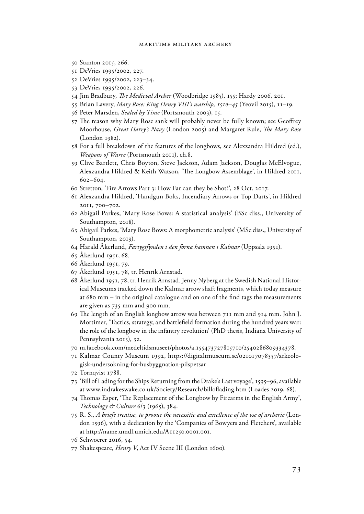- 50 Stanton 2015, 266.
- 51 DeVries 1995/2002, 227.
- 52 DeVries 1995/2002, 223–34.
- 53 DeVries 1995/2002, 226.
- 54 Jim Bradbury, *!e Medieval Archer* (Woodbridge 1985), 155; Hardy 2006, 201.
- 55 Brian Lavery, *Mary Rose: King Henry VIII's warship, 1510–45* (Yeovil 2015), 11–19.
- 56 Peter Marsden, *Sealed by Time* (Portsmouth 2003), 15.
- 57 The reason why Mary Rose sank will probably never be fully known; see Geoffrey Moorhouse, *Great Harry's Navy* (London 2005) and Margaret Rule, *!e Mary Rose* (London 1982).
- 58 For a full breakdown of the features of the longbows, see Alexzandra Hildred (ed.), *Weapons of Warre* (Portsmouth 2011), ch.8.
- 59 Clive Bartlett, Chris Boyton, Steve Jackson, Adam Jackson, Douglas McElvogue, Alexzandra Hildred & Keith Watson, 'The Longbow Assemblage', in Hildred 2011, 602–604.
- 60 Stretton, 'Fire Arrows Part 3: How Far can they be Shot?', 28 Oct. 2017.
- 61 Alexzandra Hildred, 'Handgun Bolts, Incendiary Arrows or Top Darts', in Hildred 2011, 700–702.
- 62 Abigail Parkes, 'Mary Rose Bows: A statistical analysis' (BSc diss., University of Southampton, 2018).
- 63 Abigail Parkes, 'Mary Rose Bows: A morphometric analysis' (MSc diss., University of Southampton, 2019).
- 64 Harald Åkerlund, *Fartygsfynden i den forna hamnen i Kalmar* (Uppsala 1951).
- 65 Åkerlund 1951, 68.
- 66 Åkerlund 1951, 79.
- 67 Åkerlund 1951, 78, tr. Henrik Arnstad.
- 68 Åkerlund 1951, 78, tr. Henrik Arnstad. Jenny Nyberg at the Swedish National Historical Museums tracked down the Kalmar arrow shaft fragments, which today measure at 680 mm – in the original catalogue and on one of the find tags the measurements are given as 735 mm and 900 mm.
- 69 The length of an English longbow arrow was between 711 mm and 914 mm. John J. Mortimer, 'Tactics, strategy, and battlefield formation during the hundred years war: the role of the longbow in the infantry revolution' (PhD thesis, Indiana University of Pennsylvania 2013), 32.
- 70 m.facebook.com/medeltidsmuseet/photos/a.155473727815710/2540286809334378.
- 71 Kalmar County Museum 1992, https://digitaltmuseum.se/021017078357/arkeologisk-undersokning-for-husbyggnation-pilspetsar
- 72 Tornqvist 1788.
- 73 'Bill of Lading for the Ships Returning from the Drake's Last voyage', 1595–96, available at www.indrakeswake.co.uk/Society/Research/billoflading.htm (Loades 2019, 68).
- 74 Thomas Esper, 'The Replacement of the Longbow by Firearms in the English Army', *Technology & Culture* 6/3 (1965), 384.
- 75 R. S., *A briefe treatise, to prooue the necessitie and excellence of the vse of archerie* (London 1596), with a dedication by the 'Companies of Bowyers and Fletchers', available at http://name.umdl.umich.edu/A11250.0001.001.
- 76 Schwoerer 2016, 54.
- 77 Shakespeare, *Henry V*, Act IV Scene III (London 1600).